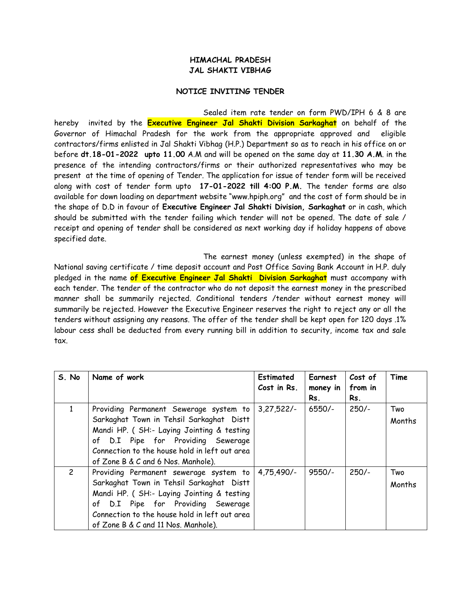## **HIMACHAL PRADESH JAL SHAKTI VIBHAG**

## **NOTICE INVITING TENDER**

Sealed item rate tender on form PWD/IPH 6 & 8 are hereby invited by the **Executive Engineer Jal Shakti Division Sarkaghat** on behalf of the Governor of Himachal Pradesh for the work from the appropriate approved and eligible contractors/firms enlisted in Jal Shakti Vibhag (H.P.) Department so as to reach in his office on or before **dt.18-01-2022 upto 11.00** A.M and will be opened on the same day at **11.30 A.M**. in the presence of the intending contractors/firms or their authorized representatives who may be present at the time of opening of Tender. The application for issue of tender form will be received along with cost of tender form upto **17-01-2022 till 4:00 P.M.** The tender forms are also available for down loading on department website "www.hpiph.org" and the cost of form should be in the shape of D.D in favour of **Executive Engineer Jal Shakti Division, Sarkaghat** or in cash, which should be submitted with the tender failing which tender will not be opened. The date of sale / receipt and opening of tender shall be considered as next working day if holiday happens of above specified date.

The earnest money (unless exempted) in the shape of National saving certificate / time deposit account and Post Office Saving Bank Account in H.P. duly pledged in the name **of Executive Engineer Jal Shakti Division Sarkaghat** must accompany with each tender. The tender of the contractor who do not deposit the earnest money in the prescribed manner shall be summarily rejected. Conditional tenders /tender without earnest money will summarily be rejected. However the Executive Engineer reserves the right to reject any or all the tenders without assigning any reasons. The offer of the tender shall be kept open for 120 days .1% labour cess shall be deducted from every running bill in addition to security, income tax and sale tax.

| S. No         | Name of work                                                                                                                                                                                                                                                   | Estimated<br>Cost in Rs. | Earnest<br>money in<br>Rs. | Cost of<br>from in<br>Rs. | Time          |
|---------------|----------------------------------------------------------------------------------------------------------------------------------------------------------------------------------------------------------------------------------------------------------------|--------------------------|----------------------------|---------------------------|---------------|
| 1             | Providing Permanent Sewerage system to<br>Sarkaghat Town in Tehsil Sarkaghat Distt<br>Mandi HP. ( SH:- Laying Jointing & testing<br>of D.I Pipe for Providing Sewerage<br>Connection to the house hold in left out area<br>of Zone B & C and 6 Nos. Manhole).  | $3,27,522/-$             | $6550/-$                   | $250/-$                   | Two<br>Months |
| $\mathcal{P}$ | Providing Permanent sewerage system to<br>Sarkaghat Town in Tehsil Sarkaghat Distt<br>Mandi HP. ( SH:- Laying Jointing & testing<br>of D.I Pipe for Providing Sewerage<br>Connection to the house hold in left out area<br>of Zone B & C and 11 Nos. Manhole). | 4,75,490/-               | $9550/-$                   | $250/-$                   | Two<br>Months |